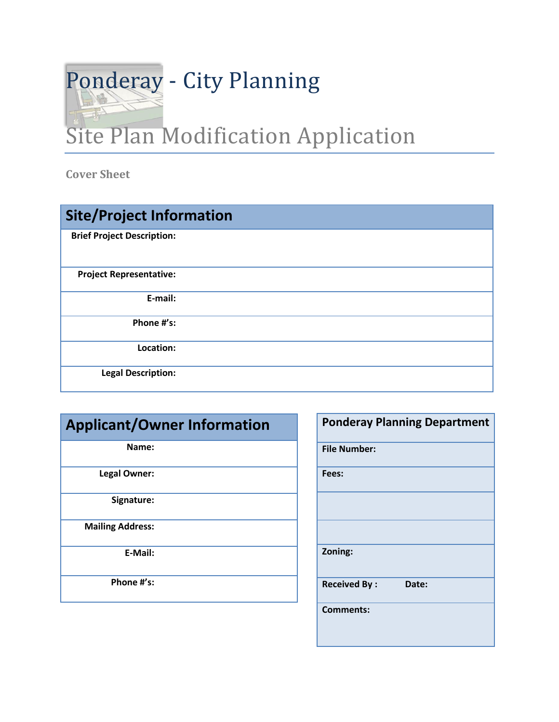

**Cover Sheet**

| <b>Site/Project Information</b>   |  |
|-----------------------------------|--|
| <b>Brief Project Description:</b> |  |
| <b>Project Representative:</b>    |  |
| E-mail:                           |  |
| Phone #'s:                        |  |
| Location:                         |  |
| <b>Legal Description:</b>         |  |

## **Applicant/Owner Information**

**Name:**

**Legal Owner:** 

**Signature:**

**Mailing Address:**

**E-Mail:**

**Phone #'s:**

| <b>Ponderay Planning Department</b> |  |
|-------------------------------------|--|
| <b>File Number:</b>                 |  |
| Fees:                               |  |
|                                     |  |
|                                     |  |
| Zoning:                             |  |
| <b>Received By:</b><br>Date:        |  |
| <b>Comments:</b>                    |  |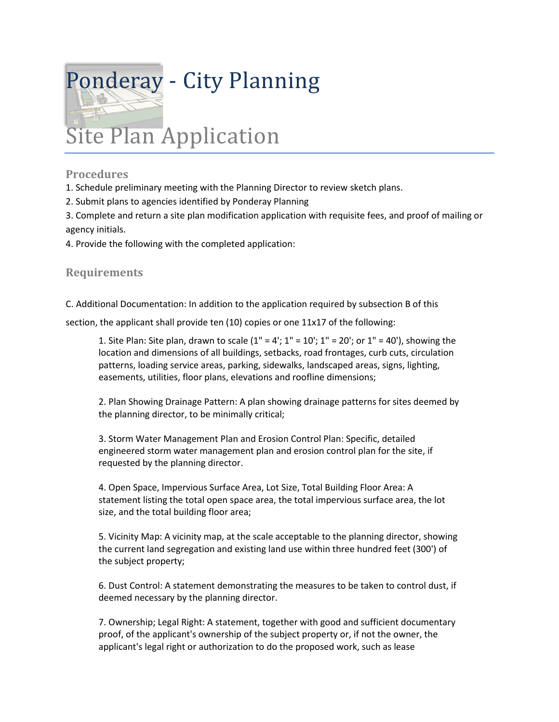

## **Procedures**

1. Schedule preliminary meeting with the Planning Director to review sketch plans.

2. Submit plans to agencies identified by Ponderay Planning

3. Complete and return a site plan modification application with requisite fees, and proof of mailing or agency initials.

4. Provide the following with the completed application:

## **Requirements**

C. Additional Documentation: In addition to the application required by subsection B of this

section, the applicant shall provide ten (10) copies or one 11x17 of the following:

1. Site Plan: Site plan, drawn to scale  $(1 - 4)$ ;  $1 - 10$ ;  $1 - 20$ ; or  $1 - 40$ ), showing the location and dimensions of all buildings, setbacks, road frontages, curb cuts, circulation patterns, loading service areas, parking, sidewalks, landscaped areas, signs, lighting, easements, utilities, floor plans, elevations and roofline dimensions;

2. Plan Showing Drainage Pattern: A plan showing drainage patterns for sites deemed by the planning director, to be minimally critical;

3. Storm Water Management Plan and Erosion Control Plan: Specific, detailed engineered storm water management plan and erosion control plan for the site, if requested by the planning director.

4. Open Space, Impervious Surface Area, Lot Size, Total Building Floor Area: A statement listing the total open space area, the total impervious surface area, the lot size, and the total building floor area;

5. Vicinity Map: A vicinity map, at the scale acceptable to the planning director, showing the current land segregation and existing land use within three hundred feet (300') of the subject property;

6. Dust Control: A statement demonstrating the measures to be taken to control dust, if deemed necessary by the planning director.

7. Ownership; Legal Right: A statement, together with good and sufficient documentary proof, of the applicant's ownership of the subject property or, if not the owner, the applicant's legal right or authorization to do the proposed work, such as lease